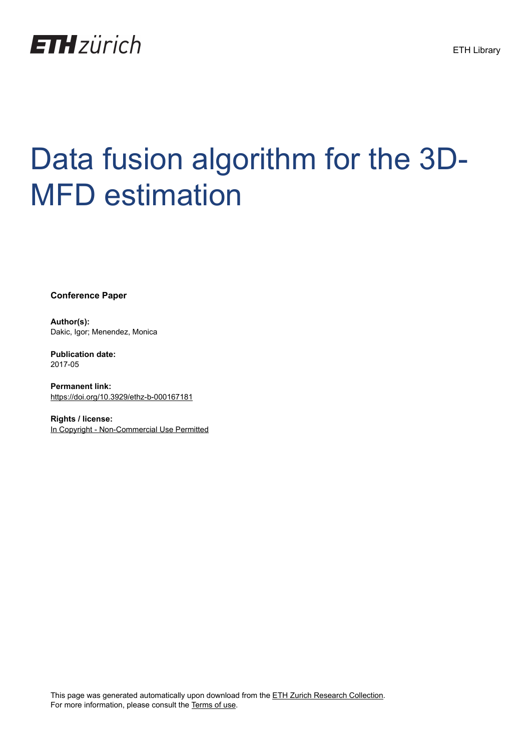

# Data fusion algorithm for the 3D-MFD estimation

**Conference Paper**

**Author(s):** Dakic, Igor; Menendez, Monica

**Publication date:** 2017-05

**Permanent link:** <https://doi.org/10.3929/ethz-b-000167181>

**Rights / license:** [In Copyright - Non-Commercial Use Permitted](http://rightsstatements.org/page/InC-NC/1.0/)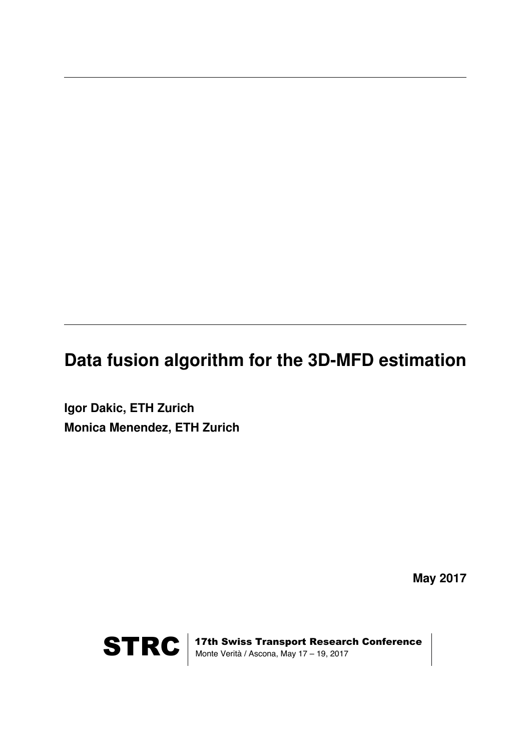## **Data fusion algorithm for the 3D-MFD estimation**

**Igor Dakic, ETH Zurich Monica Menendez, ETH Zurich**

**May 2017**



STRC | 17th Swiss Transport Research Conference<br>Monte Verità / Ascona, May 17 – 19, 2017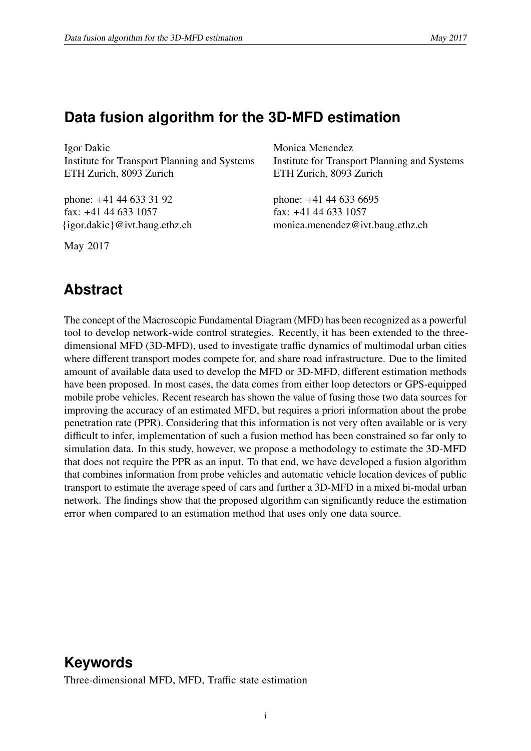## **Data fusion algorithm for the 3D-MFD estimation**

Igor Dakic Institute for Transport Planning and Systems ETH Zurich, 8093 Zurich

phone: +41 44 633 31 92 fax: +41 44 633 1057 {igor.dakic}@ivt.baug.ethz.ch

May 2017

Monica Menendez Institute for Transport Planning and Systems ETH Zurich, 8093 Zurich

phone: +41 44 633 6695 fax: +41 44 633 1057 monica.menendez@ivt.baug.ethz.ch

## **Abstract**

The concept of the Macroscopic Fundamental Diagram (MFD) has been recognized as a powerful tool to develop network-wide control strategies. Recently, it has been extended to the threedimensional MFD (3D-MFD), used to investigate traffic dynamics of multimodal urban cities where different transport modes compete for, and share road infrastructure. Due to the limited amount of available data used to develop the MFD or 3D-MFD, different estimation methods have been proposed. In most cases, the data comes from either loop detectors or GPS-equipped mobile probe vehicles. Recent research has shown the value of fusing those two data sources for improving the accuracy of an estimated MFD, but requires a priori information about the probe penetration rate (PPR). Considering that this information is not very often available or is very difficult to infer, implementation of such a fusion method has been constrained so far only to simulation data. In this study, however, we propose a methodology to estimate the 3D-MFD that does not require the PPR as an input. To that end, we have developed a fusion algorithm that combines information from probe vehicles and automatic vehicle location devices of public transport to estimate the average speed of cars and further a 3D-MFD in a mixed bi-modal urban network. The findings show that the proposed algorithm can significantly reduce the estimation error when compared to an estimation method that uses only one data source.

## **Keywords**

Three-dimensional MFD, MFD, Traffic state estimation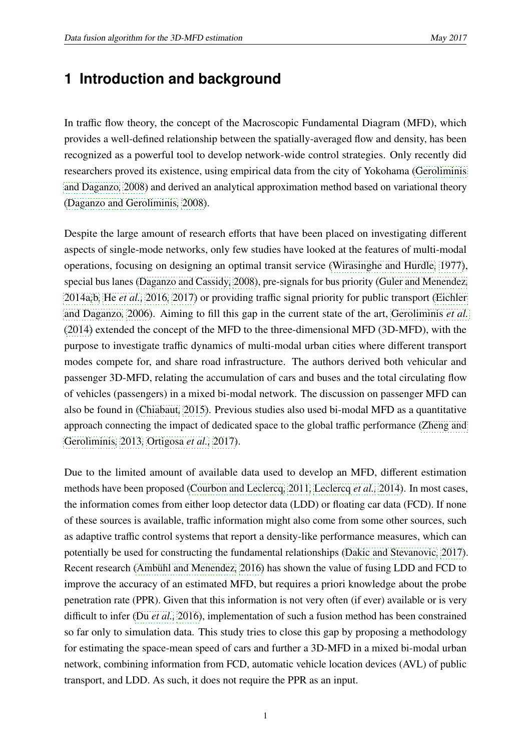## **1 Introduction and background**

In traffic flow theory, the concept of the Macroscopic Fundamental Diagram (MFD), which provides a well-defined relationship between the spatially-averaged flow and density, has been recognized as a powerful tool to develop network-wide control strategies. Only recently did researchers proved its existence, using empirical data from the city of Yokohama [\(Geroliminis](#page-14-0) [and Daganzo](#page-14-0)*,* [2008\)](#page-14-0) and derived an analytical approximation method based on variational theory [\(Daganzo and Geroliminis](#page-14-1)*,* [2008\)](#page-14-1).

Despite the large amount of research efforts that have been placed on investigating different aspects of single-mode networks, only few studies have looked at the features of multi-modal operations, focusing on designing an optimal transit service [\(Wirasinghe and Hurdle](#page-15-0)*,* [1977\)](#page-15-0), special bus lanes [\(Daganzo and Cassidy](#page-14-2)*,* [2008\)](#page-14-2), pre-signals for bus priority [\(Guler and Menendez](#page-15-1)*,* [2014a](#page-15-1)*,*[b](#page-15-2)*,* He *[et al.,](#page-15-3)* [2016](#page-15-3)*,* [2017\)](#page-15-4) or providing traffic signal priority for public transport [\(Eichler](#page-14-3) [and Daganzo](#page-14-3)*,* [2006\)](#page-14-3). Aiming to fill this gap in the current state of the art, [Geroliminis](#page-14-4) *et al.* [\(2014\)](#page-14-4) extended the concept of the MFD to the three-dimensional MFD (3D-MFD), with the purpose to investigate traffic dynamics of multi-modal urban cities where different transport modes compete for, and share road infrastructure. The authors derived both vehicular and passenger 3D-MFD, relating the accumulation of cars and buses and the total circulating flow of vehicles (passengers) in a mixed bi-modal network. The discussion on passenger MFD can also be found in [\(Chiabaut](#page-14-5)*,* [2015\)](#page-14-5). Previous studies also used bi-modal MFD as a quantitative approach connecting the impact of dedicated space to the global traffic performance [\(Zheng and](#page-15-5) [Geroliminis](#page-15-5)*,* [2013](#page-15-5)*,* [Ortigosa](#page-15-6) *et al.,* [2017\)](#page-15-6).

Due to the limited amount of available data used to develop an MFD, different estimation methods have been proposed [\(Courbon and Leclercq](#page-14-6)*,* [2011](#page-14-6)*,* [Leclercq](#page-15-7) *et al.,* [2014\)](#page-15-7). In most cases, the information comes from either loop detector data (LDD) or floating car data (FCD). If none of these sources is available, traffic information might also come from some other sources, such as adaptive traffic control systems that report a density-like performance measures, which can potentially be used for constructing the fundamental relationships [\(Dakic and Stevanovic](#page-14-7)*,* [2017\)](#page-14-7). Recent research [\(Ambühl and Menendez](#page-14-8)*,* [2016\)](#page-14-8) has shown the value of fusing LDD and FCD to improve the accuracy of an estimated MFD, but requires a priori knowledge about the probe penetration rate (PPR). Given that this information is not very often (if ever) available or is very difficult to infer (Du *[et al.,](#page-14-9)* [2016\)](#page-14-9), implementation of such a fusion method has been constrained so far only to simulation data. This study tries to close this gap by proposing a methodology for estimating the space-mean speed of cars and further a 3D-MFD in a mixed bi-modal urban network, combining information from FCD, automatic vehicle location devices (AVL) of public transport, and LDD. As such, it does not require the PPR as an input.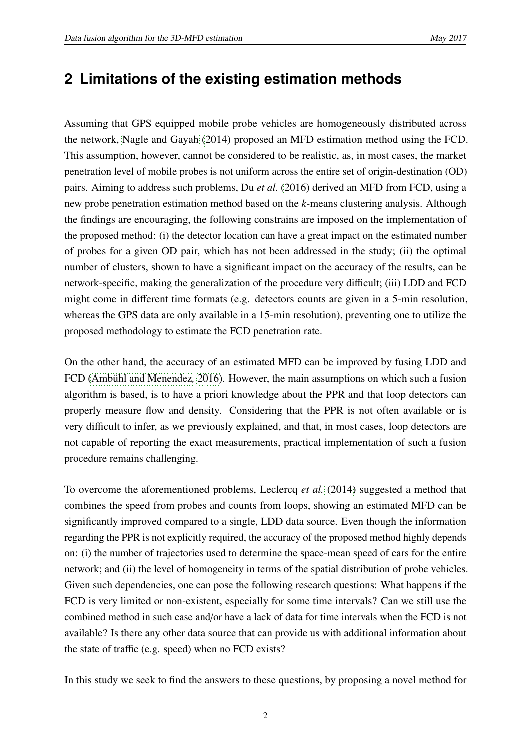## **2 Limitations of the existing estimation methods**

Assuming that GPS equipped mobile probe vehicles are homogeneously distributed across the network, [Nagle and Gayah](#page-15-8) [\(2014\)](#page-15-8) proposed an MFD estimation method using the FCD. This assumption, however, cannot be considered to be realistic, as, in most cases, the market penetration level of mobile probes is not uniform across the entire set of origin-destination (OD) pairs. Aiming to address such problems, Du *[et al.](#page-14-9)* [\(2016\)](#page-14-9) derived an MFD from FCD, using a new probe penetration estimation method based on the *k*-means clustering analysis. Although the findings are encouraging, the following constrains are imposed on the implementation of the proposed method: (i) the detector location can have a great impact on the estimated number of probes for a given OD pair, which has not been addressed in the study; (ii) the optimal number of clusters, shown to have a significant impact on the accuracy of the results, can be network-specific, making the generalization of the procedure very difficult; (iii) LDD and FCD might come in different time formats (e.g. detectors counts are given in a 5-min resolution, whereas the GPS data are only available in a 15-min resolution), preventing one to utilize the proposed methodology to estimate the FCD penetration rate.

On the other hand, the accuracy of an estimated MFD can be improved by fusing LDD and FCD [\(Ambühl and Menendez](#page-14-8)*,* [2016\)](#page-14-8). However, the main assumptions on which such a fusion algorithm is based, is to have a priori knowledge about the PPR and that loop detectors can properly measure flow and density. Considering that the PPR is not often available or is very difficult to infer, as we previously explained, and that, in most cases, loop detectors are not capable of reporting the exact measurements, practical implementation of such a fusion procedure remains challenging.

To overcome the aforementioned problems, [Leclercq](#page-15-7) *et al.* [\(2014\)](#page-15-7) suggested a method that combines the speed from probes and counts from loops, showing an estimated MFD can be significantly improved compared to a single, LDD data source. Even though the information regarding the PPR is not explicitly required, the accuracy of the proposed method highly depends on: (i) the number of trajectories used to determine the space-mean speed of cars for the entire network; and (ii) the level of homogeneity in terms of the spatial distribution of probe vehicles. Given such dependencies, one can pose the following research questions: What happens if the FCD is very limited or non-existent, especially for some time intervals? Can we still use the combined method in such case and/or have a lack of data for time intervals when the FCD is not available? Is there any other data source that can provide us with additional information about the state of traffic (e.g. speed) when no FCD exists?

In this study we seek to find the answers to these questions, by proposing a novel method for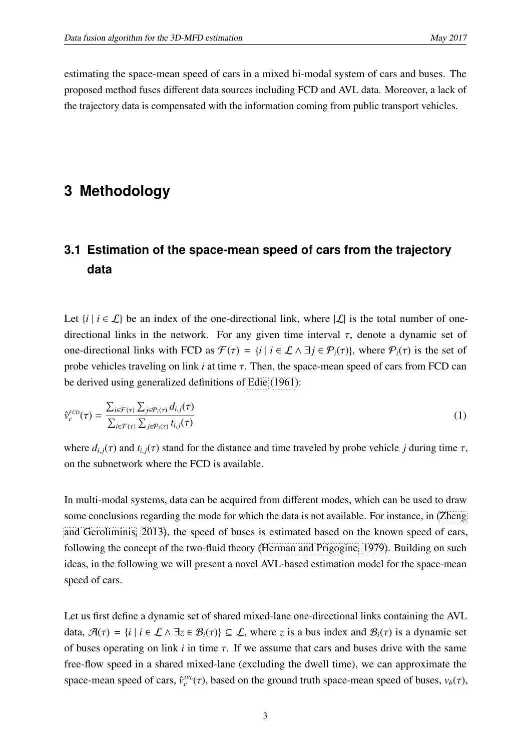estimating the space-mean speed of cars in a mixed bi-modal system of cars and buses. The proposed method fuses different data sources including FCD and AVL data. Moreover, a lack of the trajectory data is compensated with the information coming from public transport vehicles.

## **3 Methodology**

## **3.1 Estimation of the space-mean speed of cars from the trajectory data**

Let  $\{i \mid i \in \mathcal{L}\}$  be an index of the one-directional link, where  $|\mathcal{L}|$  is the total number of onedirectional links in the network. For any given time interval  $\tau$ , denote a dynamic set of one-directional links with FCD as  $\mathcal{F}(\tau) = \{i \mid i \in \mathcal{L} \land \exists j \in \mathcal{P}_i(\tau)\}\)$ , where  $\mathcal{P}_i(\tau)$  is the set of probe vehicles traveling on link  $i$  at time  $\tau$ . Then, the space-mean speed of cars from FCD can be derived using generalized definitions of [Edie](#page-14-10) [\(1961\)](#page-14-10):

$$
\hat{\nu}_c^{FCD}(\tau) = \frac{\sum_{i \in \mathcal{F}(\tau)} \sum_{j \in \mathcal{P}_i(\tau)} d_{i,j}(\tau)}{\sum_{i \in \mathcal{F}(\tau)} \sum_{j \in \mathcal{P}_i(\tau)} t_{i,j}(\tau)}
$$
(1)

where  $d_{i,j}(\tau)$  and  $t_{i,j}(\tau)$  stand for the distance and time traveled by probe vehicle *j* during time  $\tau$ , on the subnetwork where the FCD is available.

In multi-modal systems, data can be acquired from different modes, which can be used to draw some conclusions regarding the mode for which the data is not available. For instance, in [\(Zheng](#page-15-5) [and Geroliminis](#page-15-5)*,* [2013\)](#page-15-5), the speed of buses is estimated based on the known speed of cars, following the concept of the two-fluid theory [\(Herman and Prigogine](#page-15-9)*,* [1979\)](#page-15-9). Building on such ideas, in the following we will present a novel AVL-based estimation model for the space-mean speed of cars.

Let us first define a dynamic set of shared mixed-lane one-directional links containing the AVL data,  $\mathcal{A}(\tau) = \{i \mid i \in \mathcal{L} \land \exists z \in \mathcal{B}_i(\tau)\} \subseteq \mathcal{L}$ , where *z* is a bus index and  $\mathcal{B}_i(\tau)$  is a dynamic set of buses operating on link  $i$  in time  $\tau$ . If we assume that cars and buses drive with the same free-flow speed in a shared mixed-lane (excluding the dwell time), we can approximate the space-mean speed of cars,  $\hat{v}_c^{AVL}(\tau)$ , based on the ground truth space-mean speed of buses,  $v_b(\tau)$ ,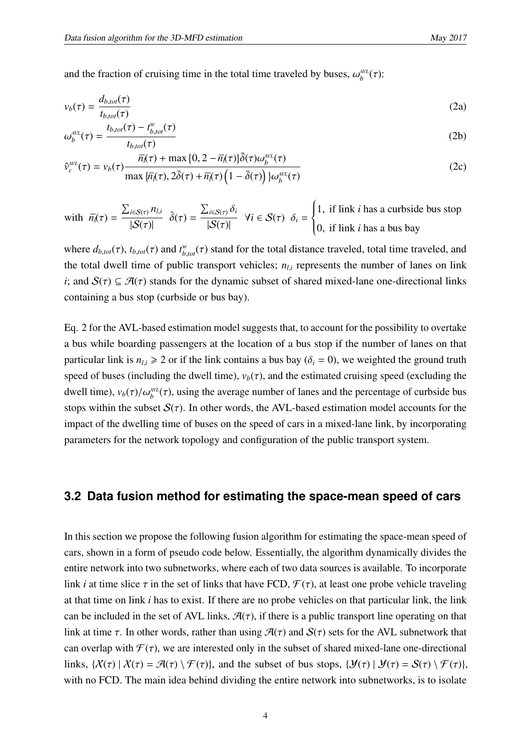and the fraction of cruising time in the total time traveled by buses,  $\omega_b^{\text{AVL}}(\tau)$ :

$$
v_b(\tau) = \frac{d_{b, tot}(\tau)}{t_{b, tot}(\tau)}
$$
(2a)

$$
\omega_b^{\text{AVL}}(\tau) = \frac{t_{b,tot}(\tau) - t_{b,tot}^w(\tau)}{t_{b,tot}(\tau)}
$$
(2b)

$$
\hat{v}_c^{\text{AVL}}(\tau) = v_b(\tau) \frac{\overline{n}_{\ell}(\tau) + \max\{0, 2 - \overline{n}_{\ell}(\tau)\}\overline{\delta}(\tau)\omega_b^{\text{AVL}}(\tau)}{\max\{\overline{n}_{\ell}(\tau), 2\overline{\delta}(\tau) + \overline{n}_{\ell}(\tau)\left(1 - \overline{\delta}(\tau)\right)\}\omega_b^{\text{AVL}}(\tau)}
$$
(2c)

with  $\overline{n}_l(\tau) =$  $\frac{\sum_{i \in S(\tau)} n_{l,i}}{\sum_{i \in S(\tau)} n_{l,i}}$  $|\mathcal{S}(\tau)|$  $\bar{\delta}(\tau) =$  $\frac{\sum_{i \in S(\tau)} \delta_i}{\sum_{i \in S(\tau)} \delta_i}$  $|\mathcal{S}(\tau)|$  $\forall i \in S(\tau) \; \delta_i =$  $\begin{cases} \frac{1}{2} & \text{if } 0 \leq x \leq 1 \\ \frac{1}{2} & \text{if } 0 \leq x \leq 1 \end{cases}$  $\overline{\mathcal{L}}$ <sup>1</sup>, if link *<sup>i</sup>* has a curbside bus stop <sup>0</sup>, if link *<sup>i</sup>* has a bus bay

where  $d_{b,tot}(\tau)$ ,  $t_{b,tot}(\tau)$  and  $t_{b,tot}^w(\tau)$  stand for the total distance traveled, total time traveled, and the total dwell time of public transport vehicles;  $n_{i,i}$  represents the number of lanes on link *i*; and  $S(\tau) \subseteq \mathcal{A}(\tau)$  stands for the dynamic subset of shared mixed-lane one-directional links containing a bus stop (curbside or bus bay).

Eq. 2 for the AVL-based estimation model suggests that, to account for the possibility to overtake a bus while boarding passengers at the location of a bus stop if the number of lanes on that particular link is  $n_{l,i} \ge 2$  or if the link contains a bus bay ( $\delta_i = 0$ ), we weighted the ground truth speed of buses (including the dwell time),  $v_b(\tau)$ , and the estimated cruising speed (excluding the dwell time),  $v_b(\tau)/\omega_b^{AVL}(\tau)$ , using the average number of lanes and the percentage of curbside bus stops within the subset  $S(\tau)$ . In other words, the AVL-based estimation model accounts for the impact of the dwelling time of buses on the speed of cars in a mixed-lane link, by incorporating parameters for the network topology and configuration of the public transport system.

#### **3.2 Data fusion method for estimating the space-mean speed of cars**

In this section we propose the following fusion algorithm for estimating the space-mean speed of cars, shown in a form of pseudo code below. Essentially, the algorithm dynamically divides the entire network into two subnetworks, where each of two data sources is available. To incorporate link *i* at time slice  $\tau$  in the set of links that have FCD,  $\mathcal{F}(\tau)$ , at least one probe vehicle traveling at that time on link *i* has to exist. If there are no probe vehicles on that particular link, the link can be included in the set of AVL links,  $\mathcal{A}(\tau)$ , if there is a public transport line operating on that link at time  $\tau$ . In other words, rather than using  $\mathcal{A}(\tau)$  and  $\mathcal{S}(\tau)$  sets for the AVL subnetwork that can overlap with  $\mathcal{F}(\tau)$ , we are interested only in the subset of shared mixed-lane one-directional links,  $\{X(\tau) | X(\tau) = \mathcal{A}(\tau) \setminus \mathcal{F}(\tau)\}$ , and the subset of bus stops,  $\{Y(\tau) | Y(\tau) = S(\tau) \setminus \mathcal{F}(\tau)\}$ , with no FCD. The main idea behind dividing the entire network into subnetworks, is to isolate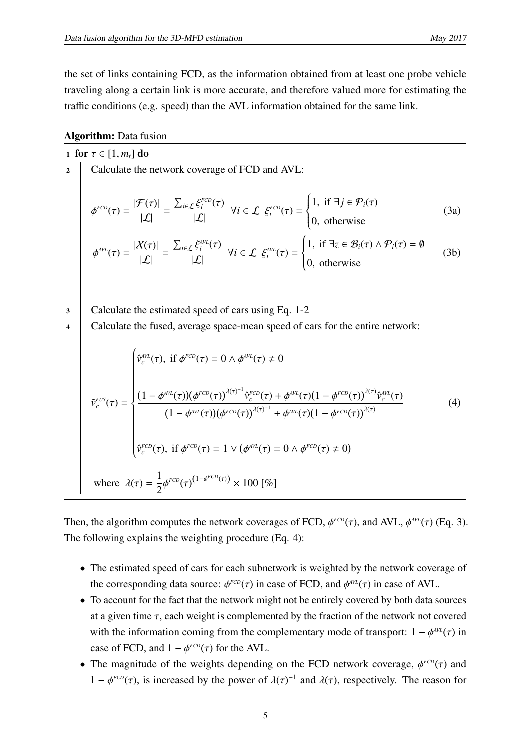the set of links containing FCD, as the information obtained from at least one probe vehicle traveling along a certain link is more accurate, and therefore valued more for estimating the traffic conditions (e.g. speed) than the AVL information obtained for the same link.

#### Algorithm: Data fusion

1 for  $\tau \in [1, m_t]$  do Calculate the network coverage of FCD and AVL:  $\phi^{FCD}(\tau) =$  $\frac{|\mathcal{F}(\tau)|}{|\mathcal{L}|}$  =  $\frac{\sum_{i\in\mathcal{L}}\xi_i^{FCD}(\tau)}{|\mathcal{L}|}$   $\forall i \in \mathcal{L}$   $\xi_i^{FCD}(\tau) =$  $\begin{cases} \frac{1}{2} & \text{if } 0 \leq x \leq 1 \\ \frac{1}{2} & \text{if } 0 \leq x \leq 1 \end{cases}$  $\overline{\mathcal{L}}$ 1, if  $\exists j \in \mathcal{P}_i(\tau)$ <sup>0</sup>, otherwise (3a)  $\phi^{\text{AVL}}(\tau) =$  $\frac{|X(\tau)|}{|\mathcal{L}|}$  =  $\frac{\sum_{i\in\mathcal{L}}\xi_i^{AVL}(\tau)}{|\mathcal{L}|}$   $\forall i \in \mathcal{L}$   $\xi_i^{AVL}(\tau) =$  $\begin{cases} \n\end{cases}$  $\overline{\mathcal{L}}$ 1, if  $\exists z \in \mathcal{B}_i(\tau) \land \mathcal{P}_i(\tau) = \emptyset$ <sup>0</sup>, otherwise (3b) 3 Calculate the estimated speed of cars using Eq. 1-2 4 Calculate the fused, average space-mean speed of cars for the entire network:  $\tilde{v}_c^{FUS}(\tau) =$  $\hat{v}_c^{AVL}(\tau)$ , if  $\phi^{FCD}(\tau) = 0 \wedge \phi^{AVL}(\tau) \neq 0$  $\left\{ \begin{array}{c} \end{array} \right.$   $\frac{(1 - \phi^{AVL}(\tau))(\phi^{FCD}(\tau))^{A(\tau)-1} \hat{v}_c^{FCD}(\tau) + \phi^{AVL}(\tau)(1 - \phi^{FCD}(\tau))^{A(\tau)} \hat{v}_c^{AVL}(\tau)}{h^{A}(\tau)-h^{A}(\tau)}$  $(1 - \phi^{AVL}(\tau))(\phi^{FCD}(\tau))^{(\lambda(\tau))^{-1}} + \phi^{AVL}(\tau)(1 - \phi^{FCD}(\tau))^{(\lambda(\tau))}$  $\hat{v}_c^{FCD}(\tau)$ , if  $\phi^{FCD}(\tau) = 1 \vee ($  $\phi^{AVL}(\tau) = 0 \wedge \phi^{FCD}(\tau) \neq 0$ (4) where  $\lambda(\tau) =$ 1  $\frac{1}{2}\phi^{FCD}(\tau)^{(1-\phi^{FCD}(\tau))}\times 100~[\%]$ 

Then, the algorithm computes the network coverages of FCD,  $\phi^{FCD}(\tau)$ , and AVL,  $\phi^{AVL}(\tau)$  (Eq. 3). The following explains the weighting procedure (Eq. 4):

- The estimated speed of cars for each subnetwork is weighted by the network coverage of the corresponding data source:  $\phi^{FCD}(\tau)$  in case of FCD, and  $\phi^{AVL}(\tau)$  in case of AVL.
- To account for the fact that the network might not be entirely covered by both data sources at a given time  $\tau$ , each weight is complemented by the fraction of the network not covered with the information coming from the complementary mode of transport:  $1 - \phi^{AVL}(\tau)$  in case of FCD, and  $1 - \phi^{FCD}(\tau)$  for the AVL.
- The magnitude of the weights depending on the FCD network coverage,  $\phi^{FCD}(\tau)$  and 1 −  $φ^{FCD}(\tau)$ , is increased by the power of  $\lambda(\tau)^{-1}$  and  $\lambda(\tau)$ , respectively. The reason for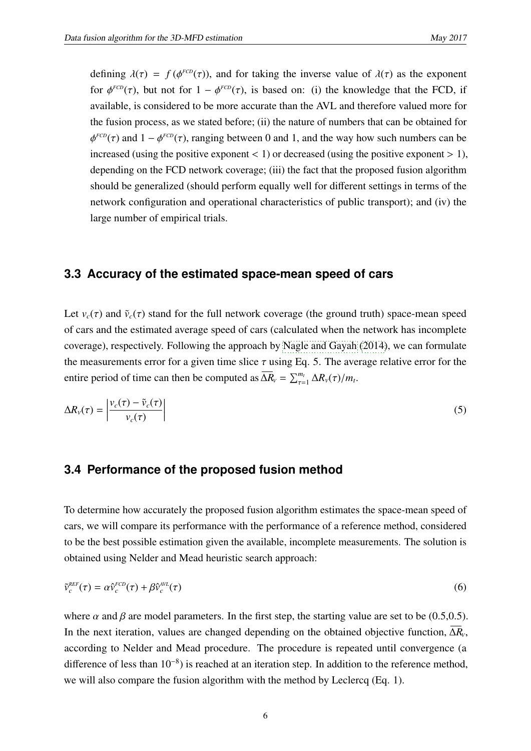defining  $\lambda(\tau) = f(\phi^{FCD}(\tau))$ , and for taking the inverse value of  $\lambda(\tau)$  as the exponent for  $\phi^{FCD}(\tau)$ , but not for  $1 - \phi^{FCD}(\tau)$ , is based on: (i) the knowledge that the FCD, if available, is considered to be more accurate than the AVL and therefore valued more for the fusion process, as we stated before; (ii) the nature of numbers that can be obtained for  $\frac{1}{2}$ *FCD*( $\tau$ ) and 1 –  $\phi^{FCD}(\tau)$ , ranging between 0 and 1, and the way how such numbers can be increased (using the positive exponent  $\lt 1$ ) or decreased (using the positive exponent  $> 1$ ), depending on the FCD network coverage; (iii) the fact that the proposed fusion algorithm should be generalized (should perform equally well for different settings in terms of the network configuration and operational characteristics of public transport); and (iv) the large number of empirical trials.

#### **3.3 Accuracy of the estimated space-mean speed of cars**

Let  $v_c(\tau)$  and  $\tilde{v}_c(\tau)$  stand for the full network coverage (the ground truth) space-mean speed of cars and the estimated average speed of cars (calculated when the network has incomplete coverage), respectively. Following the approach by [Nagle and Gayah](#page-15-8) [\(2014\)](#page-15-8), we can formulate the measurements error for a given time slice  $\tau$  using Eq. 5. The average relative error for the entire period of time can then be computed as  $\overline{\Delta R}_V = \sum_{\tau=1}^{m_t} \Delta R_V(\tau) / m_t$ .

$$
\Delta R_{v}(\tau) = \left| \frac{v_c(\tau) - \tilde{v}_c(\tau)}{v_c(\tau)} \right| \tag{5}
$$

#### **3.4 Performance of the proposed fusion method**

To determine how accurately the proposed fusion algorithm estimates the space-mean speed of cars, we will compare its performance with the performance of a reference method, considered to be the best possible estimation given the available, incomplete measurements. The solution is obtained using Nelder and Mead heuristic search approach:

$$
\tilde{\mathbf{v}}_c^{REF}(\tau) = \alpha \hat{\mathbf{v}}_c^{FCD}(\tau) + \beta \hat{\mathbf{v}}_c^{AVL}(\tau)
$$
\n(6)

where  $\alpha$  and  $\beta$  are model parameters. In the first step, the starting value are set to be (0.5,0.5). In the next iteration, values are changed depending on the obtained objective function, ∆*RV*, according to Nelder and Mead procedure. The procedure is repeated until convergence (a difference of less than 10<sup>-8</sup>) is reached at an iteration step. In addition to the reference method, we will also compare the fusion algorithm with the method by Leclercq (Eq. 1).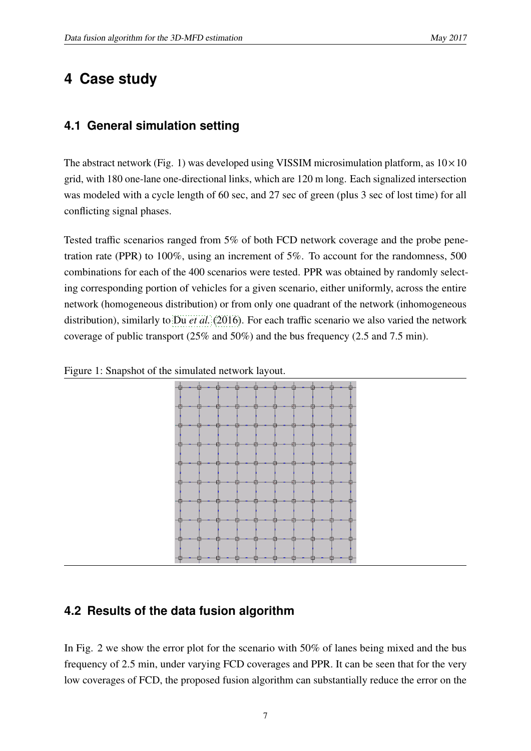## **4 Case study**

## **4.1 General simulation setting**

The abstract network (Fig. 1) was developed using VISSIM microsimulation platform, as  $10 \times 10$ grid, with 180 one-lane one-directional links, which are 120 m long. Each signalized intersection was modeled with a cycle length of 60 sec, and 27 sec of green (plus 3 sec of lost time) for all conflicting signal phases.

Tested traffic scenarios ranged from 5% of both FCD network coverage and the probe penetration rate (PPR) to 100%, using an increment of 5%. To account for the randomness, 500 combinations for each of the 400 scenarios were tested. PPR was obtained by randomly selecting corresponding portion of vehicles for a given scenario, either uniformly, across the entire network (homogeneous distribution) or from only one quadrant of the network (inhomogeneous distribution), similarly to Du *[et al.](#page-14-9)* [\(2016\)](#page-14-9). For each traffic scenario we also varied the network coverage of public transport (25% and 50%) and the bus frequency (2.5 and 7.5 min).



Figure 1: Snapshot of the simulated network layout.

### **4.2 Results of the data fusion algorithm**

In Fig. 2 we show the error plot for the scenario with 50% of lanes being mixed and the bus frequency of 2.5 min, under varying FCD coverages and PPR. It can be seen that for the very low coverages of FCD, the proposed fusion algorithm can substantially reduce the error on the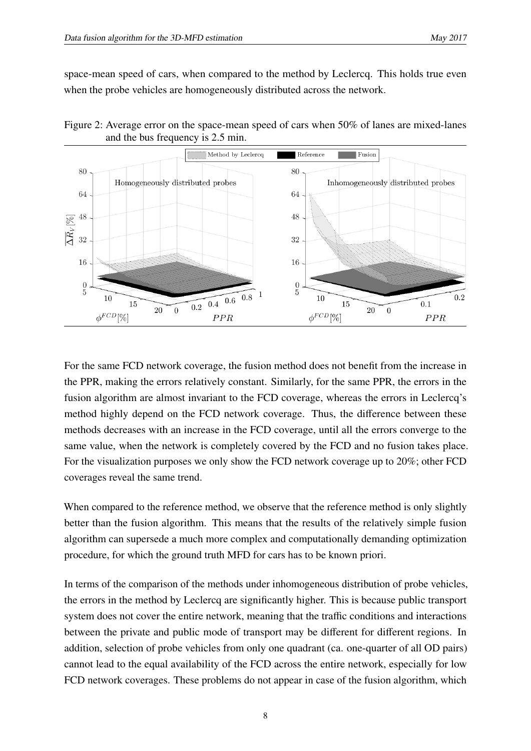space-mean speed of cars, when compared to the method by Leclercq. This holds true even when the probe vehicles are homogeneously distributed across the network.

Figure 2: Average error on the space-mean speed of cars when 50% of lanes are mixed-lanes and the bus frequency is 2.5 min.



For the same FCD network coverage, the fusion method does not benefit from the increase in the PPR, making the errors relatively constant. Similarly, for the same PPR, the errors in the fusion algorithm are almost invariant to the FCD coverage, whereas the errors in Leclercq's method highly depend on the FCD network coverage. Thus, the difference between these methods decreases with an increase in the FCD coverage, until all the errors converge to the same value, when the network is completely covered by the FCD and no fusion takes place. For the visualization purposes we only show the FCD network coverage up to 20%; other FCD coverages reveal the same trend.

When compared to the reference method, we observe that the reference method is only slightly better than the fusion algorithm. This means that the results of the relatively simple fusion algorithm can supersede a much more complex and computationally demanding optimization procedure, for which the ground truth MFD for cars has to be known priori.

In terms of the comparison of the methods under inhomogeneous distribution of probe vehicles, the errors in the method by Leclercq are significantly higher. This is because public transport system does not cover the entire network, meaning that the traffic conditions and interactions between the private and public mode of transport may be different for different regions. In addition, selection of probe vehicles from only one quadrant (ca. one-quarter of all OD pairs) cannot lead to the equal availability of the FCD across the entire network, especially for low FCD network coverages. These problems do not appear in case of the fusion algorithm, which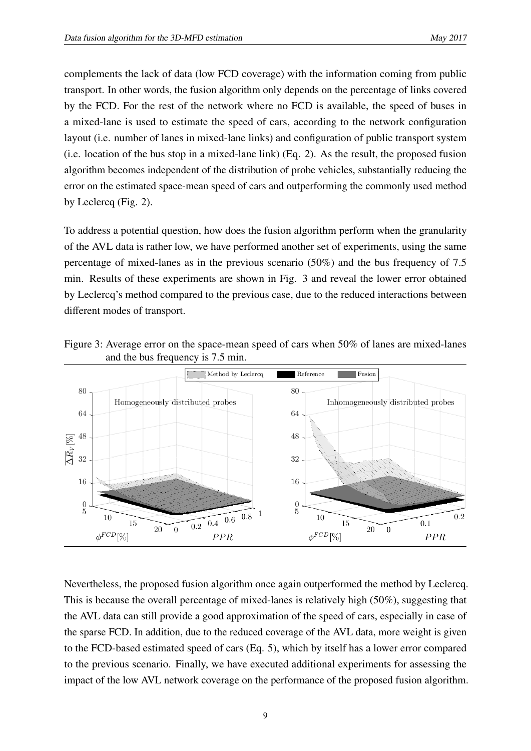complements the lack of data (low FCD coverage) with the information coming from public transport. In other words, the fusion algorithm only depends on the percentage of links covered by the FCD. For the rest of the network where no FCD is available, the speed of buses in a mixed-lane is used to estimate the speed of cars, according to the network configuration layout (i.e. number of lanes in mixed-lane links) and configuration of public transport system (i.e. location of the bus stop in a mixed-lane link) (Eq. 2). As the result, the proposed fusion algorithm becomes independent of the distribution of probe vehicles, substantially reducing the error on the estimated space-mean speed of cars and outperforming the commonly used method by Leclercq (Fig. 2).

To address a potential question, how does the fusion algorithm perform when the granularity of the AVL data is rather low, we have performed another set of experiments, using the same percentage of mixed-lanes as in the previous scenario (50%) and the bus frequency of 7.5 min. Results of these experiments are shown in Fig. 3 and reveal the lower error obtained by Leclercq's method compared to the previous case, due to the reduced interactions between different modes of transport.

Figure 3: Average error on the space-mean speed of cars when 50% of lanes are mixed-lanes and the bus frequency is 7.5 min.



Nevertheless, the proposed fusion algorithm once again outperformed the method by Leclercq. This is because the overall percentage of mixed-lanes is relatively high (50%), suggesting that the AVL data can still provide a good approximation of the speed of cars, especially in case of the sparse FCD. In addition, due to the reduced coverage of the AVL data, more weight is given to the FCD-based estimated speed of cars (Eq. 5), which by itself has a lower error compared to the previous scenario. Finally, we have executed additional experiments for assessing the impact of the low AVL network coverage on the performance of the proposed fusion algorithm.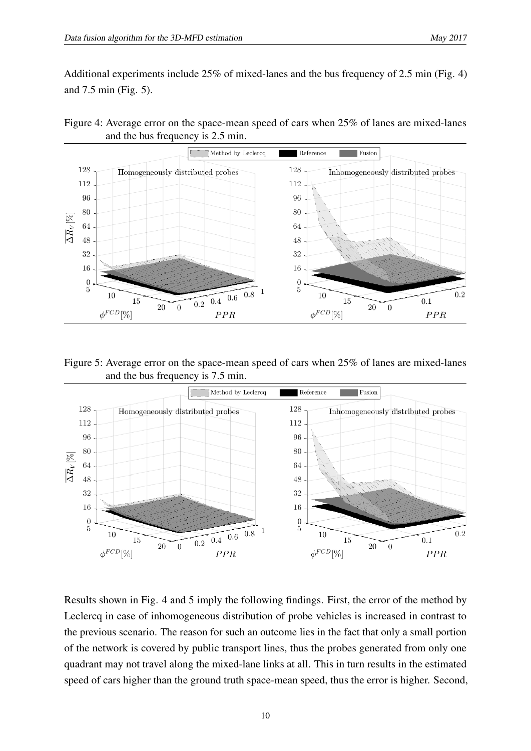Additional experiments include 25% of mixed-lanes and the bus frequency of 2.5 min (Fig. 4) and 7.5 min (Fig. 5).





Figure 5: Average error on the space-mean speed of cars when 25% of lanes are mixed-lanes and the bus frequency is 7.5 min.



Results shown in Fig. 4 and 5 imply the following findings. First, the error of the method by Leclercq in case of inhomogeneous distribution of probe vehicles is increased in contrast to the previous scenario. The reason for such an outcome lies in the fact that only a small portion of the network is covered by public transport lines, thus the probes generated from only one quadrant may not travel along the mixed-lane links at all. This in turn results in the estimated speed of cars higher than the ground truth space-mean speed, thus the error is higher. Second,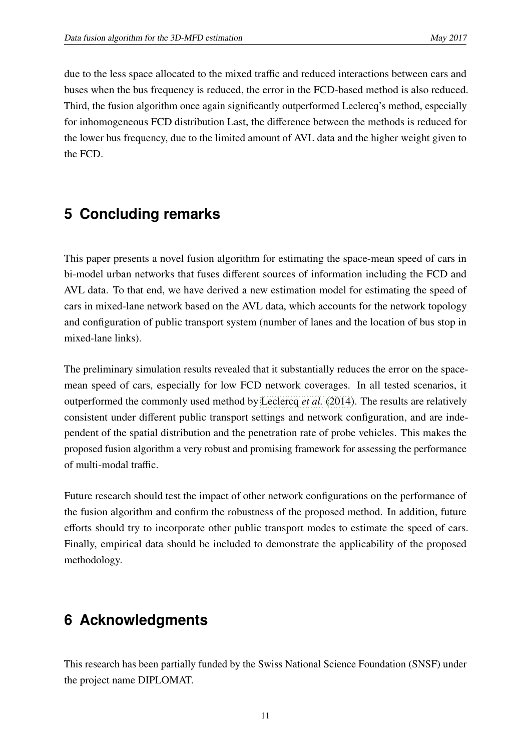due to the less space allocated to the mixed traffic and reduced interactions between cars and buses when the bus frequency is reduced, the error in the FCD-based method is also reduced. Third, the fusion algorithm once again significantly outperformed Leclercq's method, especially for inhomogeneous FCD distribution Last, the difference between the methods is reduced for the lower bus frequency, due to the limited amount of AVL data and the higher weight given to the FCD.

## **5 Concluding remarks**

This paper presents a novel fusion algorithm for estimating the space-mean speed of cars in bi-model urban networks that fuses different sources of information including the FCD and AVL data. To that end, we have derived a new estimation model for estimating the speed of cars in mixed-lane network based on the AVL data, which accounts for the network topology and configuration of public transport system (number of lanes and the location of bus stop in mixed-lane links).

The preliminary simulation results revealed that it substantially reduces the error on the spacemean speed of cars, especially for low FCD network coverages. In all tested scenarios, it outperformed the commonly used method by [Leclercq](#page-15-7) *et al.* [\(2014\)](#page-15-7). The results are relatively consistent under different public transport settings and network configuration, and are independent of the spatial distribution and the penetration rate of probe vehicles. This makes the proposed fusion algorithm a very robust and promising framework for assessing the performance of multi-modal traffic.

Future research should test the impact of other network configurations on the performance of the fusion algorithm and confirm the robustness of the proposed method. In addition, future efforts should try to incorporate other public transport modes to estimate the speed of cars. Finally, empirical data should be included to demonstrate the applicability of the proposed methodology.

## **6 Acknowledgments**

This research has been partially funded by the Swiss National Science Foundation (SNSF) under the project name DIPLOMAT.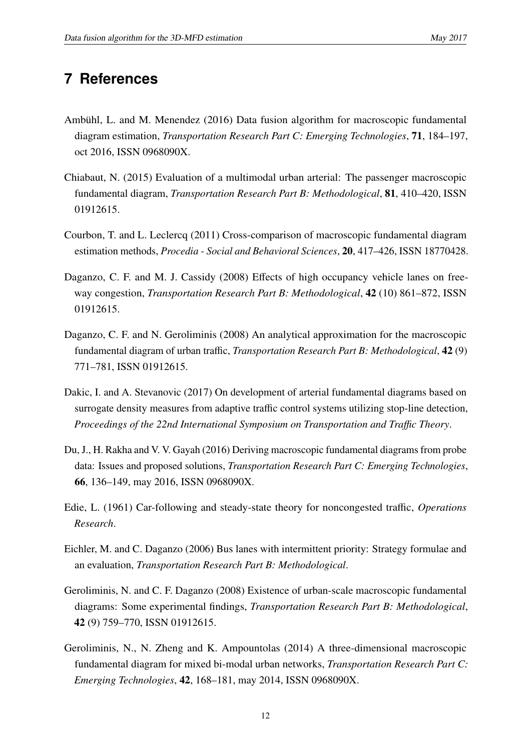## **7 References**

- <span id="page-14-8"></span>Ambühl, L. and M. Menendez (2016) Data fusion algorithm for macroscopic fundamental diagram estimation, *Transportation Research Part C: Emerging Technologies*, 71, 184–197, oct 2016, ISSN 0968090X.
- <span id="page-14-5"></span>Chiabaut, N. (2015) Evaluation of a multimodal urban arterial: The passenger macroscopic fundamental diagram, *Transportation Research Part B: Methodological*, 81, 410–420, ISSN 01912615.
- <span id="page-14-6"></span>Courbon, T. and L. Leclercq (2011) Cross-comparison of macroscopic fundamental diagram estimation methods, *Procedia - Social and Behavioral Sciences*, 20, 417–426, ISSN 18770428.
- <span id="page-14-2"></span>Daganzo, C. F. and M. J. Cassidy (2008) Effects of high occupancy vehicle lanes on freeway congestion, *Transportation Research Part B: Methodological*, 42 (10) 861–872, ISSN 01912615.
- <span id="page-14-1"></span>Daganzo, C. F. and N. Geroliminis (2008) An analytical approximation for the macroscopic fundamental diagram of urban traffic, *Transportation Research Part B: Methodological*, 42 (9) 771–781, ISSN 01912615.
- <span id="page-14-7"></span>Dakic, I. and A. Stevanovic (2017) On development of arterial fundamental diagrams based on surrogate density measures from adaptive traffic control systems utilizing stop-line detection, *Proceedings of the 22nd International Symposium on Transportation and Tra*ffi*c Theory*.
- <span id="page-14-9"></span>Du, J., H. Rakha and V. V. Gayah (2016) Deriving macroscopic fundamental diagrams from probe data: Issues and proposed solutions, *Transportation Research Part C: Emerging Technologies*, 66, 136–149, may 2016, ISSN 0968090X.
- <span id="page-14-10"></span>Edie, L. (1961) Car-following and steady-state theory for noncongested traffic, *Operations Research*.
- <span id="page-14-3"></span>Eichler, M. and C. Daganzo (2006) Bus lanes with intermittent priority: Strategy formulae and an evaluation, *Transportation Research Part B: Methodological*.
- <span id="page-14-0"></span>Geroliminis, N. and C. F. Daganzo (2008) Existence of urban-scale macroscopic fundamental diagrams: Some experimental findings, *Transportation Research Part B: Methodological*, 42 (9) 759–770, ISSN 01912615.
- <span id="page-14-4"></span>Geroliminis, N., N. Zheng and K. Ampountolas (2014) A three-dimensional macroscopic fundamental diagram for mixed bi-modal urban networks, *Transportation Research Part C: Emerging Technologies*, 42, 168–181, may 2014, ISSN 0968090X.